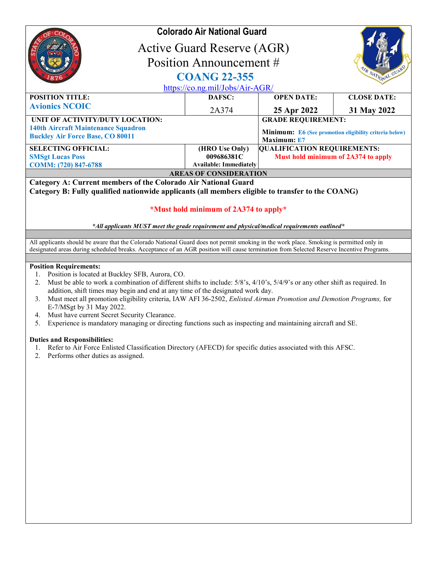|                                                                                                                                                                     | <b>Colorado Air National Guard</b><br>Active Guard Reserve (AGR)<br>Position Announcement #<br><b>COANG 22-355</b><br>https://co.ng.mil/Jobs/Air-AGR/ |                                                                                                           |                    |  |
|---------------------------------------------------------------------------------------------------------------------------------------------------------------------|-------------------------------------------------------------------------------------------------------------------------------------------------------|-----------------------------------------------------------------------------------------------------------|--------------------|--|
| <b>POSITION TITLE:</b>                                                                                                                                              | DAFSC:                                                                                                                                                | <b>OPEN DATE:</b>                                                                                         | <b>CLOSE DATE:</b> |  |
| <b>Avionics NCOIC</b>                                                                                                                                               | 2A374                                                                                                                                                 | 25 Apr 2022                                                                                               | 31 May 2022        |  |
| UNIT OF ACTIVITY/DUTY LOCATION:<br><b>140th Aircraft Maintenance Squadron</b><br><b>Buckley Air Force Base, CO 80011</b>                                            |                                                                                                                                                       | <b>GRADE REQUIREMENT:</b><br><b>Minimum:</b> E6 (See promotion eligibility criteria below)<br>Maximum: E7 |                    |  |
| <b>SELECTING OFFICIAL:</b>                                                                                                                                          | (HRO Use Only)                                                                                                                                        | <b>QUALIFICATION REQUIREMENTS:</b>                                                                        |                    |  |
| <b>SMSgt Lucas Poss</b>                                                                                                                                             | 009686381C                                                                                                                                            | Must hold minimum of 2A374 to apply                                                                       |                    |  |
| COMM: (720) 847-6788                                                                                                                                                | <b>Available: Immediately</b>                                                                                                                         |                                                                                                           |                    |  |
| <b>AREAS OF CONSIDERATION</b>                                                                                                                                       |                                                                                                                                                       |                                                                                                           |                    |  |
| Category A: Current members of the Colorado Air National Guard<br>Category B: Fully qualified nationwide applicants (all members eligible to transfer to the COANG) |                                                                                                                                                       |                                                                                                           |                    |  |
| *Must hold minimum of 2A374 to apply*                                                                                                                               |                                                                                                                                                       |                                                                                                           |                    |  |
| *All applicants MUST meet the grade requirement and physical/medical requirements outlined*                                                                         |                                                                                                                                                       |                                                                                                           |                    |  |

All applicants should be aware that the Colorado National Guard does not permit smoking in the work place. Smoking is permitted only in designated areas during scheduled breaks. Acceptance of an AGR position will cause termination from Selected Reserve Incentive Programs.

## Position Requirements:

- 1. Position is located at Buckley SFB, Aurora, CO.
- 2. Must be able to work a combination of different shifts to include: 5/8's, 4/10's, 5/4/9's or any other shift as required. In addition, shift times may begin and end at any time of the designated work day.
- 3. Must meet all promotion eligibility criteria, IAW AFI 36-2502, Enlisted Airman Promotion and Demotion Programs, for E-7/MSgt by 31 May 2022.
- 4. Must have current Secret Security Clearance.
- 5. Experience is mandatory managing or directing functions such as inspecting and maintaining aircraft and SE.

## Duties and Responsibilities:

- 1. Refer to Air Force Enlisted Classification Directory (AFECD) for specific duties associated with this AFSC.
- 2. Performs other duties as assigned.